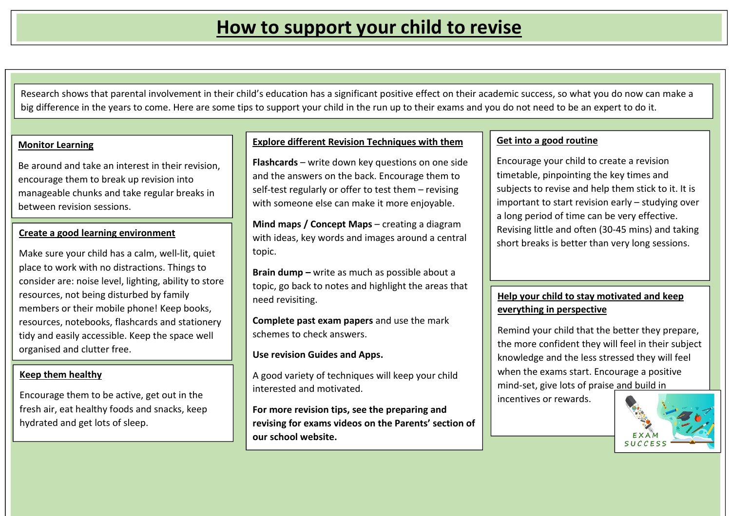Research shows that parental involvement in their child's education has a significant positive effect on their academic success, so what you do now can make a big difference in the years to come. Here are some tips to support your child in the run up to their exams and you do not need to be an expert to do it.

### **Monitor Learning**

Be around and take an interest in their revision, encourage them to break up revision into manageable chunks and take regular breaks in between revision sessions.

# **Create a good learning environment**

Make sure your child has a calm, well-lit, quiet place to work with no distractions. Things to consider are: noise level, lighting, ability to store resources, not being disturbed by family members or their mobile phone! Keep books, resources, notebooks, flashcards and stationery tidy and easily accessible. Keep the space well organised and clutter free.

### **Keep them healthy**

Encourage them to be active, get out in the fresh air, eat healthy foods and snacks, keep hydrated and get lots of sleep.

## **Explore different Revision Techniques with them**

**Flashcards** – write down key questions on one side and the answers on the back. Encourage them to self-test regularly or offer to test them – revising with someone else can make it more enjoyable.

**Mind maps / Concept Maps** – creating a diagram with ideas, key words and images around a central topic.

**Brain dump –** write as much as possible about a topic, go back to notes and highlight the areas that need revisiting.

**Complete past exam papers** and use the mark schemes to check answers.

**Use revision Guides and Apps.** 

A good variety of techniques will keep your child interested and motivated.

**For more revision tips, see the preparing and revising for exams videos on the Parents' section of our school website.** 

### **Get into a good routine**

Encourage your child to create a revision timetable, pinpointing the key times and subjects to revise and help them stick to it. It isimportant to start revision early – studying over a long period of time can be very effective. Revising little and often (30-45 mins) and taking short breaks is better than very long sessions.

### **Help your child to stay motivated and keep everything in perspective**

Remind your child that the better they prepare, the more confident they will feel in their subject knowledge and the less stressed they will feel when the exams start. Encourage a positive mind-set, give lots of praise and build in

incentives or rewards.